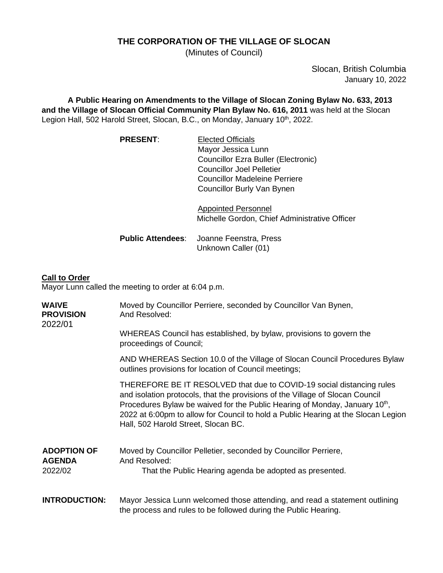## **THE CORPORATION OF THE VILLAGE OF SLOCAN**

(Minutes of Council)

Slocan, British Columbia January 10, 2022

**A Public Hearing on Amendments to the Village of Slocan Zoning Bylaw No. 633, 2013 and the Village of Slocan Official Community Plan Bylaw No. 616, 2011** was held at the Slocan Legion Hall, 502 Harold Street, Slocan, B.C., on Monday, January 10<sup>th</sup>, 2022.

| <b>PRESENT:</b> | <b>Elected Officials</b>             |
|-----------------|--------------------------------------|
|                 | Mayor Jessica Lunn                   |
|                 | Councillor Ezra Buller (Electronic)  |
|                 | <b>Councillor Joel Pelletier</b>     |
|                 | <b>Councillor Madeleine Perriere</b> |
|                 | Councillor Burly Van Bynen           |

Appointed Personnel Michelle Gordon, Chief Administrative Officer

**Public Attendees**: Joanne Feenstra, Press Unknown Caller (01)

# **Call to Order**

Mayor Lunn called the meeting to order at 6:04 p.m.

| <b>WAIVE</b><br><b>PROVISION</b><br>2022/01    | Moved by Councillor Perriere, seconded by Councillor Van Bynen,<br>And Resolved:                                                                                                                                                                                                                                                                                              |
|------------------------------------------------|-------------------------------------------------------------------------------------------------------------------------------------------------------------------------------------------------------------------------------------------------------------------------------------------------------------------------------------------------------------------------------|
|                                                | WHEREAS Council has established, by bylaw, provisions to govern the<br>proceedings of Council;                                                                                                                                                                                                                                                                                |
|                                                | AND WHEREAS Section 10.0 of the Village of Slocan Council Procedures Bylaw<br>outlines provisions for location of Council meetings;                                                                                                                                                                                                                                           |
|                                                | THEREFORE BE IT RESOLVED that due to COVID-19 social distancing rules<br>and isolation protocols, that the provisions of the Village of Slocan Council<br>Procedures Bylaw be waived for the Public Hearing of Monday, January 10 <sup>th</sup> ,<br>2022 at 6:00pm to allow for Council to hold a Public Hearing at the Slocan Legion<br>Hall, 502 Harold Street, Slocan BC. |
| <b>ADOPTION OF</b><br><b>AGENDA</b><br>2022/02 | Moved by Councillor Pelletier, seconded by Councillor Perriere,<br>And Resolved:                                                                                                                                                                                                                                                                                              |
|                                                | That the Public Hearing agenda be adopted as presented.                                                                                                                                                                                                                                                                                                                       |
| <b>INTRODUCTION:</b>                           | Mayor Jessica Lunn welcomed those attending, and read a statement outlining<br>the process and rules to be followed during the Public Hearing.                                                                                                                                                                                                                                |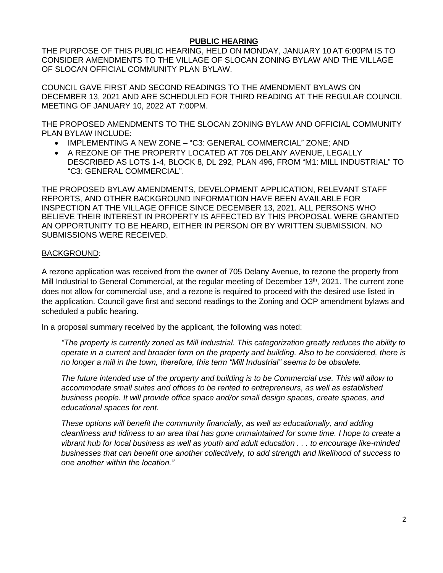#### **PUBLIC HEARING**

THE PURPOSE OF THIS PUBLIC HEARING, HELD ON MONDAY, JANUARY 10 AT 6:00PM IS TO CONSIDER AMENDMENTS TO THE VILLAGE OF SLOCAN ZONING BYLAW AND THE VILLAGE OF SLOCAN OFFICIAL COMMUNITY PLAN BYLAW.

COUNCIL GAVE FIRST AND SECOND READINGS TO THE AMENDMENT BYLAWS ON DECEMBER 13, 2021 AND ARE SCHEDULED FOR THIRD READING AT THE REGULAR COUNCIL MEETING OF JANUARY 10, 2022 AT 7:00PM.

THE PROPOSED AMENDMENTS TO THE SLOCAN ZONING BYLAW AND OFFICIAL COMMUNITY PLAN BYLAW INCLUDE:

- IMPLEMENTING A NEW ZONE "C3: GENERAL COMMERCIAL" ZONE; AND
- A REZONE OF THE PROPERTY LOCATED AT 705 DELANY AVENUE, LEGALLY DESCRIBED AS LOTS 1-4, BLOCK 8, DL 292, PLAN 496, FROM "M1: MILL INDUSTRIAL" TO "C3: GENERAL COMMERCIAL".

THE PROPOSED BYLAW AMENDMENTS, DEVELOPMENT APPLICATION, RELEVANT STAFF REPORTS, AND OTHER BACKGROUND INFORMATION HAVE BEEN AVAILABLE FOR INSPECTION AT THE VILLAGE OFFICE SINCE DECEMBER 13, 2021. ALL PERSONS WHO BELIEVE THEIR INTEREST IN PROPERTY IS AFFECTED BY THIS PROPOSAL WERE GRANTED AN OPPORTUNITY TO BE HEARD, EITHER IN PERSON OR BY WRITTEN SUBMISSION. NO SUBMISSIONS WERE RECEIVED.

#### BACKGROUND:

A rezone application was received from the owner of 705 Delany Avenue, to rezone the property from Mill Industrial to General Commercial, at the regular meeting of December 13<sup>th</sup>, 2021. The current zone does not allow for commercial use, and a rezone is required to proceed with the desired use listed in the application. Council gave first and second readings to the Zoning and OCP amendment bylaws and scheduled a public hearing.

In a proposal summary received by the applicant, the following was noted:

*"The property is currently zoned as Mill Industrial. This categorization greatly reduces the ability to operate in a current and broader form on the property and building. Also to be considered, there is no longer a mill in the town, therefore, this term "Mill Industrial" seems to be obsolete.*

*The future intended use of the property and building is to be Commercial use. This will allow to accommodate small suites and offices to be rented to entrepreneurs, as well as established business people. It will provide office space and/or small design spaces, create spaces, and educational spaces for rent.* 

*These options will benefit the community financially, as well as educationally, and adding cleanliness and tidiness to an area that has gone unmaintained for some time. I hope to create a vibrant hub for local business as well as youth and adult education . . . to encourage like-minded businesses that can benefit one another collectively, to add strength and likelihood of success to one another within the location."*